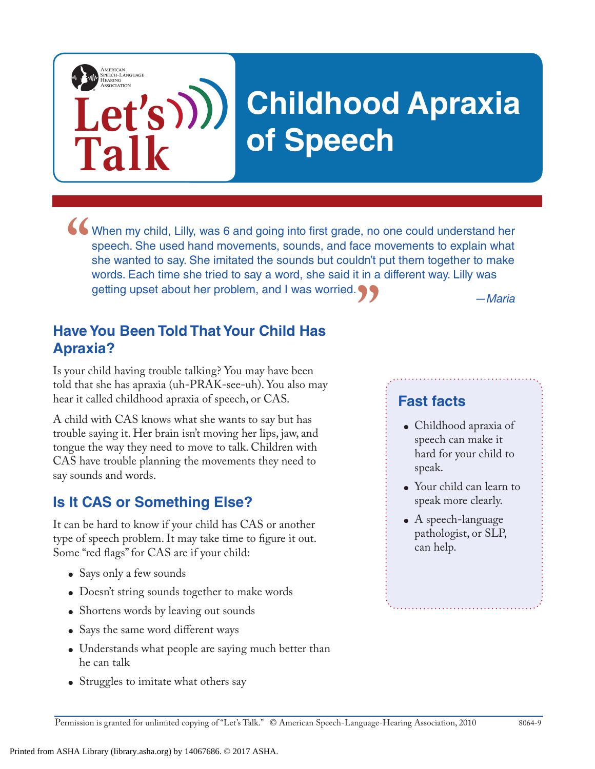# **Childhood Apraxia of Speech**

When my child, Lilly, was 6 and going into first grade, no one could understand her speech. She used hand movements, sounds, and face movements to explain what she wanted to say. She imitated the sounds but couldn't put th speech. She used hand movements, sounds, and face movements to explain what she wanted to say. She imitated the sounds but couldn't put them together to make words. Each time she tried to say a word, she said it in a different way. Lilly was getting upset about her problem, and I was worried. **"**

*—Maria*

#### **Have You Been Told That Your Child Has Apraxia?**

Is your child having trouble talking? You may have been told that she has apraxia (uh-PRAK-see-uh). You also may hear it called childhood apraxia of speech, or CAS.

A child with CAS knows what she wants to say but has trouble saying it. Her brain isn't moving her lips, jaw, and tongue the way they need to move to talk. Children with CAS have trouble planning the movements they need to say sounds and words.

#### **Is It CAS or Something Else?**

**Let's**

**Talk**

AMERICAN<br>SPEECH-LANGUAGE-<br>HEARING

It can be hard to know if your child has CAS or another type of speech problem. It may take time to figure it out. Some "red flags" for CAS are if your child:

- Says only a few sounds
- Doesn't string sounds together to make words
- Shortens words by leaving out sounds
- Says the same word different ways
- Understands what people are saying much better than he can talk
- Struggles to imitate what others say

### **Fast facts**

- Childhood apraxia of speech can make it hard for your child to speak.
- Your child can learn to speak more clearly.
- $\bullet$  A speech-language pathologist, or SLP, can help.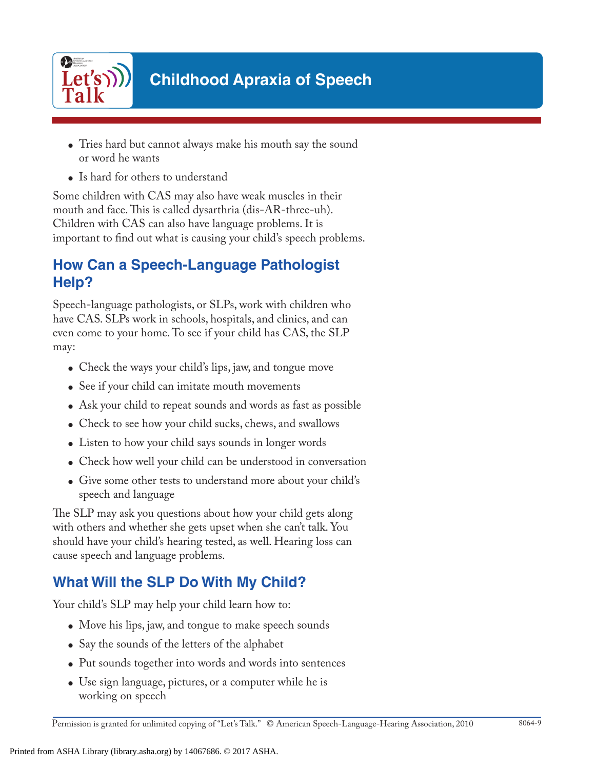

- Tries hard but cannot always make his mouth say the sound or word he wants
- Is hard for others to understand

Some children with CAS may also have weak muscles in their mouth and face. This is called dysarthria (dis-AR-three-uh). Children with CAS can also have language problems. It is important to find out what is causing your child's speech problems.

### **How Can a Speech-Language Pathologist Help?**

Speech-language pathologists, or SLPs, work with children who have CAS. SLPs work in schools, hospitals, and clinics, and can even come to your home. To see if your child has CAS, the SLP may:

- Check the ways your child's lips, jaw, and tongue move
- See if your child can imitate mouth movements
- Ask your child to repeat sounds and words as fast as possible
- Check to see how your child sucks, chews, and swallows
- Listen to how your child says sounds in longer words
- Check how well your child can be understood in conversation
- Give some other tests to understand more about your child's speech and language

The SLP may ask you questions about how your child gets along with others and whether she gets upset when she can't talk. You should have your child's hearing tested, as well. Hearing loss can cause speech and language problems.

# **What Will the SLP Do With My Child?**

Your child's SLP may help your child learn how to:

- Move his lips, jaw, and tongue to make speech sounds
- Say the sounds of the letters of the alphabet
- Put sounds together into words and words into sentences
- Use sign language, pictures, or a computer while he is working on speech

Permission is granted for unlimited copying of "Let's Talk." © American Speech-Language-Hearing Association, 2010 8064-9